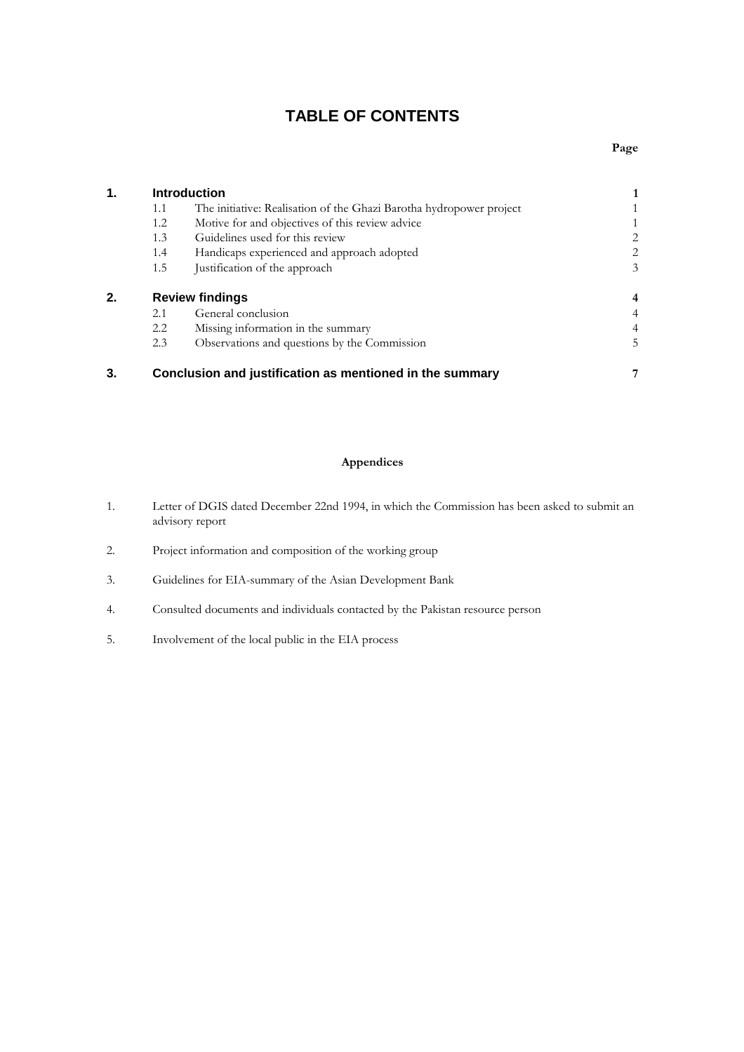# **TABLE OF CONTENTS**

| $\mathbf 1$ . | <b>Introduction</b>    |                                                                     |                |
|---------------|------------------------|---------------------------------------------------------------------|----------------|
|               | 1.1                    | The initiative: Realisation of the Ghazi Barotha hydropower project |                |
|               | 1.2                    | Motive for and objectives of this review advice                     |                |
|               | 1.3                    | Guidelines used for this review                                     | 2              |
|               | 1.4                    | Handicaps experienced and approach adopted                          | $\overline{2}$ |
|               | 1.5                    | Justification of the approach                                       | 3              |
| 2.            | <b>Review findings</b> |                                                                     | $\overline{4}$ |
|               | 2.1                    | General conclusion                                                  | $\overline{4}$ |
|               | 2.2                    | Missing information in the summary                                  | 4              |
|               | 2.3                    | Observations and questions by the Commission                        | 5              |
| 3.            |                        | Conclusion and justification as mentioned in the summary            |                |

# **Appendices**

- 1. Letter of DGIS dated December 22nd 1994, in which the Commission has been asked to submit an advisory report
- 2. Project information and composition of the working group
- 3. Guidelines for EIA-summary of the Asian Development Bank
- 4. Consulted documents and individuals contacted by the Pakistan resource person
- 5. Involvement of the local public in the EIA process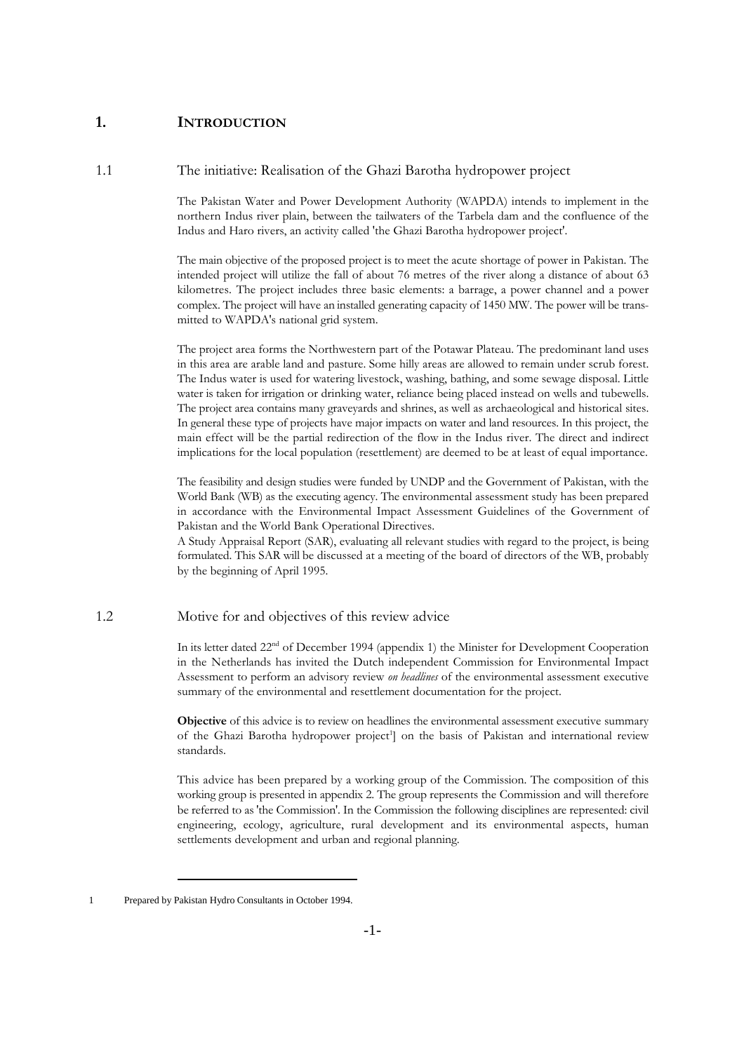# **1. INTRODUCTION**

1.1 The initiative: Realisation of the Ghazi Barotha hydropower project

The Pakistan Water and Power Development Authority (WAPDA) intends to implement in the northern Indus river plain, between the tailwaters of the Tarbela dam and the confluence of the Indus and Haro rivers, an activity called 'the Ghazi Barotha hydropower project'.

The main objective of the proposed project is to meet the acute shortage of power in Pakistan. The intended project will utilize the fall of about 76 metres of the river along a distance of about 63 kilometres. The project includes three basic elements: a barrage, a power channel and a power complex. The project will have an installed generating capacity of 1450 MW. The power will be transmitted to WAPDA's national grid system.

The project area forms the Northwestern part of the Potawar Plateau. The predominant land uses in this area are arable land and pasture. Some hilly areas are allowed to remain under scrub forest. The Indus water is used for watering livestock, washing, bathing, and some sewage disposal. Little water is taken for irrigation or drinking water, reliance being placed instead on wells and tubewells. The project area contains many graveyards and shrines, as well as archaeological and historical sites. In general these type of projects have major impacts on water and land resources. In this project, the main effect will be the partial redirection of the flow in the Indus river. The direct and indirect implications for the local population (resettlement) are deemed to be at least of equal importance.

The feasibility and design studies were funded by UNDP and the Government of Pakistan, with the World Bank (WB) as the executing agency. The environmental assessment study has been prepared in accordance with the Environmental Impact Assessment Guidelines of the Government of Pakistan and the World Bank Operational Directives.

A Study Appraisal Report (SAR), evaluating all relevant studies with regard to the project, is being formulated. This SAR will be discussed at a meeting of the board of directors of the WB, probably by the beginning of April 1995.

## 1.2 Motive for and objectives of this review advice

In its letter dated 22<sup>nd</sup> of December 1994 (appendix 1) the Minister for Development Cooperation in the Netherlands has invited the Dutch independent Commission for Environmental Impact Assessment to perform an advisory review *on headlines* of the environmental assessment executive summary of the environmental and resettlement documentation for the project.

**Objective** of this advice is to review on headlines the environmental assessment executive summary of the Ghazi Barotha hydropower project<sup>1</sup>] on the basis of Pakistan and international review standards.

This advice has been prepared by a working group of the Commission. The composition of this working group is presented in appendix 2. The group represents the Commission and will therefore be referred to as 'the Commission'. In the Commission the following disciplines are represented: civil engineering, ecology, agriculture, rural development and its environmental aspects, human settlements development and urban and regional planning.

<sup>1</sup> Prepared by Pakistan Hydro Consultants in October 1994.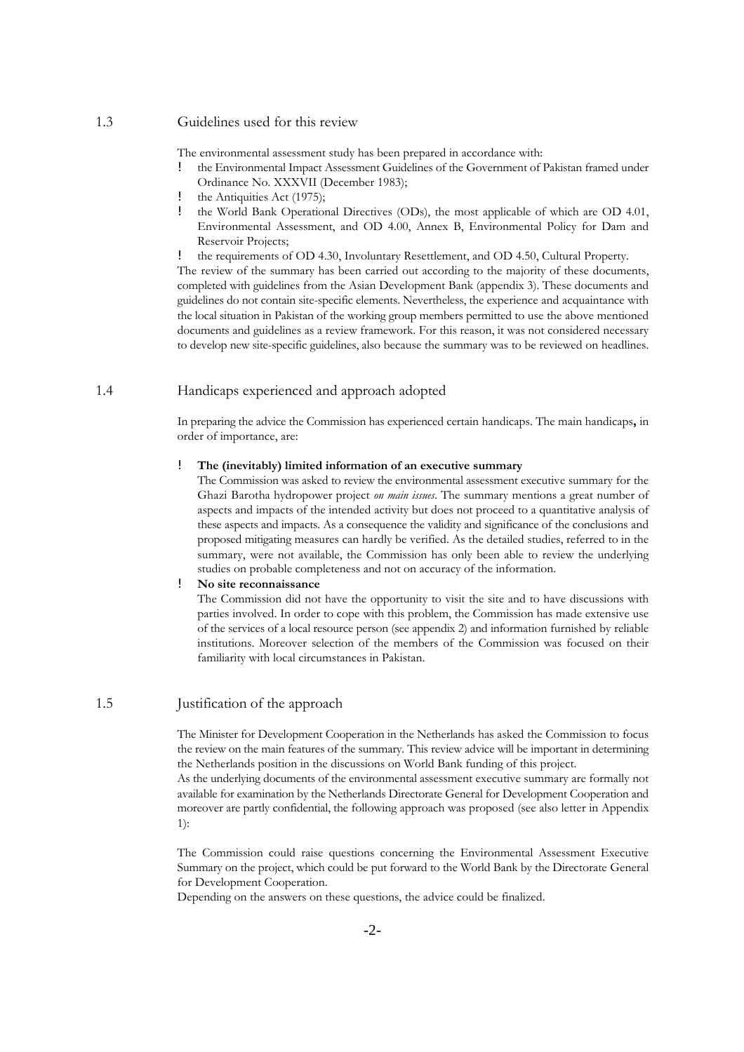## 1.3 Guidelines used for this review

The environmental assessment study has been prepared in accordance with:

- ! the Environmental Impact Assessment Guidelines of the Government of Pakistan framed under Ordinance No. XXXVII (December 1983);
- ! the Antiquities Act (1975);
- ! the World Bank Operational Directives (ODs), the most applicable of which are OD 4.01, Environmental Assessment, and OD 4.00, Annex B, Environmental Policy for Dam and Reservoir Projects;

! the requirements of OD 4.30, Involuntary Resettlement, and OD 4.50, Cultural Property.

The review of the summary has been carried out according to the majority of these documents, completed with guidelines from the Asian Development Bank (appendix 3). These documents and guidelines do not contain site-specific elements. Nevertheless, the experience and acquaintance with the local situation in Pakistan of the working group members permitted to use the above mentioned documents and guidelines as a review framework. For this reason, it was not considered necessary to develop new site-specific guidelines, also because the summary was to be reviewed on headlines.

# 1.4 Handicaps experienced and approach adopted

In preparing the advice the Commission has experienced certain handicaps. The main handicaps**,** in order of importance, are:

### ! **The (inevitably) limited information of an executive summary**

The Commission was asked to review the environmental assessment executive summary for the Ghazi Barotha hydropower project *on main issues*. The summary mentions a great number of aspects and impacts of the intended activity but does not proceed to a quantitative analysis of these aspects and impacts. As a consequence the validity and significance of the conclusions and proposed mitigating measures can hardly be verified. As the detailed studies, referred to in the summary, were not available, the Commission has only been able to review the underlying studies on probable completeness and not on accuracy of the information.

### ! **No site reconnaissance**

The Commission did not have the opportunity to visit the site and to have discussions with parties involved. In order to cope with this problem, the Commission has made extensive use of the services of a local resource person (see appendix 2) and information furnished by reliable institutions. Moreover selection of the members of the Commission was focused on their familiarity with local circumstances in Pakistan.

# 1.5 Justification of the approach

The Minister for Development Cooperation in the Netherlands has asked the Commission to focus the review on the main features of the summary. This review advice will be important in determining the Netherlands position in the discussions on World Bank funding of this project.

As the underlying documents of the environmental assessment executive summary are formally not available for examination by the Netherlands Directorate General for Development Cooperation and moreover are partly confidential, the following approach was proposed (see also letter in Appendix 1):

The Commission could raise questions concerning the Environmental Assessment Executive Summary on the project, which could be put forward to the World Bank by the Directorate General for Development Cooperation.

Depending on the answers on these questions, the advice could be finalized.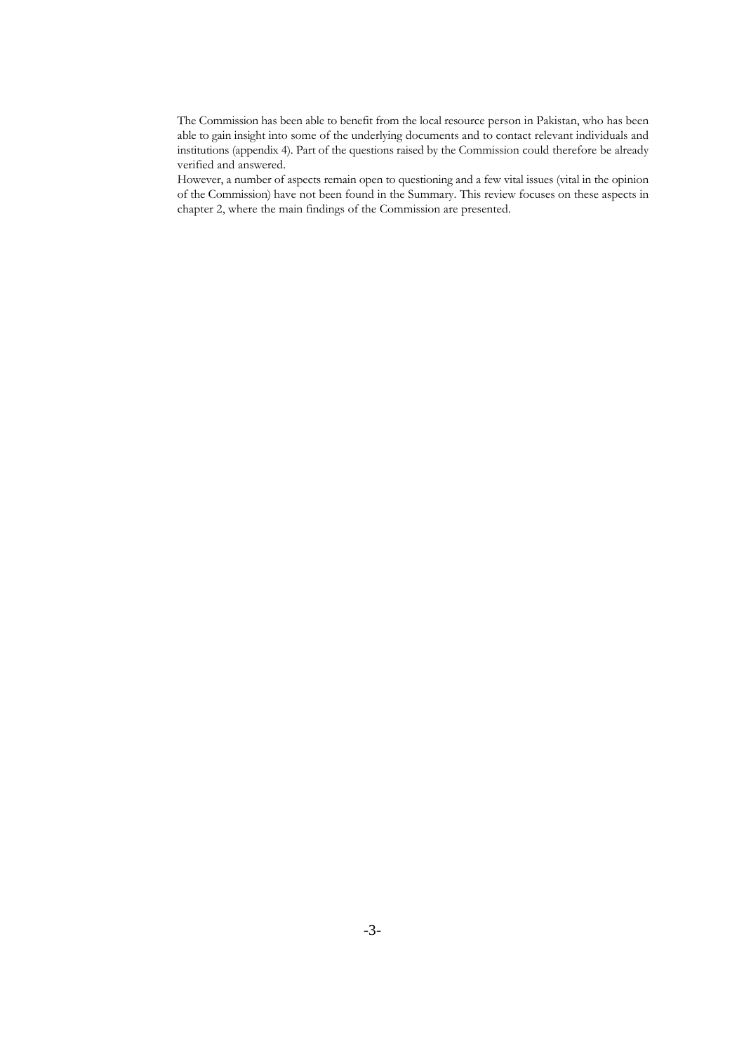The Commission has been able to benefit from the local resource person in Pakistan, who has been able to gain insight into some of the underlying documents and to contact relevant individuals and institutions (appendix 4). Part of the questions raised by the Commission could therefore be already verified and answered.

However, a number of aspects remain open to questioning and a few vital issues (vital in the opinion of the Commission) have not been found in the Summary. This review focuses on these aspects in chapter 2, where the main findings of the Commission are presented.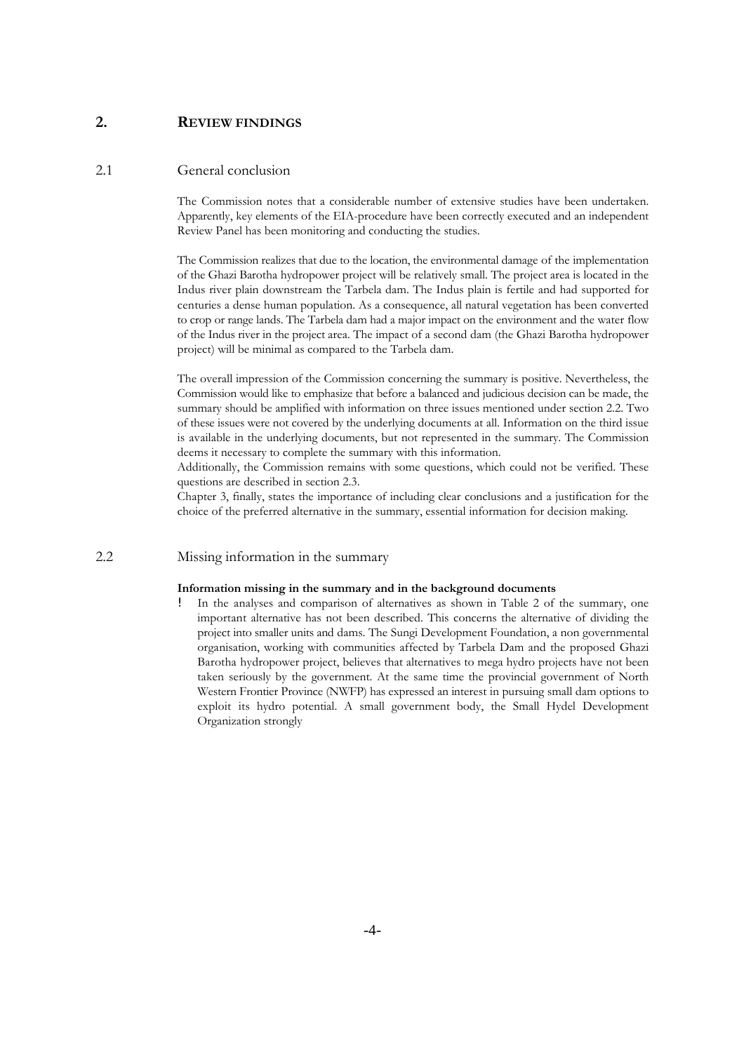# **2. REVIEW FINDINGS**

### 2.1 General conclusion

The Commission notes that a considerable number of extensive studies have been undertaken. Apparently, key elements of the EIA-procedure have been correctly executed and an independent Review Panel has been monitoring and conducting the studies.

The Commission realizes that due to the location, the environmental damage of the implementation of the Ghazi Barotha hydropower project will be relatively small. The project area is located in the Indus river plain downstream the Tarbela dam. The Indus plain is fertile and had supported for centuries a dense human population. As a consequence, all natural vegetation has been converted to crop or range lands. The Tarbela dam had a major impact on the environment and the water flow of the Indus river in the project area. The impact of a second dam (the Ghazi Barotha hydropower project) will be minimal as compared to the Tarbela dam.

The overall impression of the Commission concerning the summary is positive. Nevertheless, the Commission would like to emphasize that before a balanced and judicious decision can be made, the summary should be amplified with information on three issues mentioned under section 2.2. Two of these issues were not covered by the underlying documents at all. Information on the third issue is available in the underlying documents, but not represented in the summary. The Commission deems it necessary to complete the summary with this information.

Additionally, the Commission remains with some questions, which could not be verified. These questions are described in section 2.3.

Chapter 3, finally, states the importance of including clear conclusions and a justification for the choice of the preferred alternative in the summary, essential information for decision making.

2.2 Missing information in the summary

#### **Information missing in the summary and in the background documents**

In the analyses and comparison of alternatives as shown in Table 2 of the summary, one important alternative has not been described. This concerns the alternative of dividing the project into smaller units and dams. The Sungi Development Foundation, a non governmental organisation, working with communities affected by Tarbela Dam and the proposed Ghazi Barotha hydropower project, believes that alternatives to mega hydro projects have not been taken seriously by the government. At the same time the provincial government of North Western Frontier Province (NWFP) has expressed an interest in pursuing small dam options to exploit its hydro potential. A small government body, the Small Hydel Development Organization strongly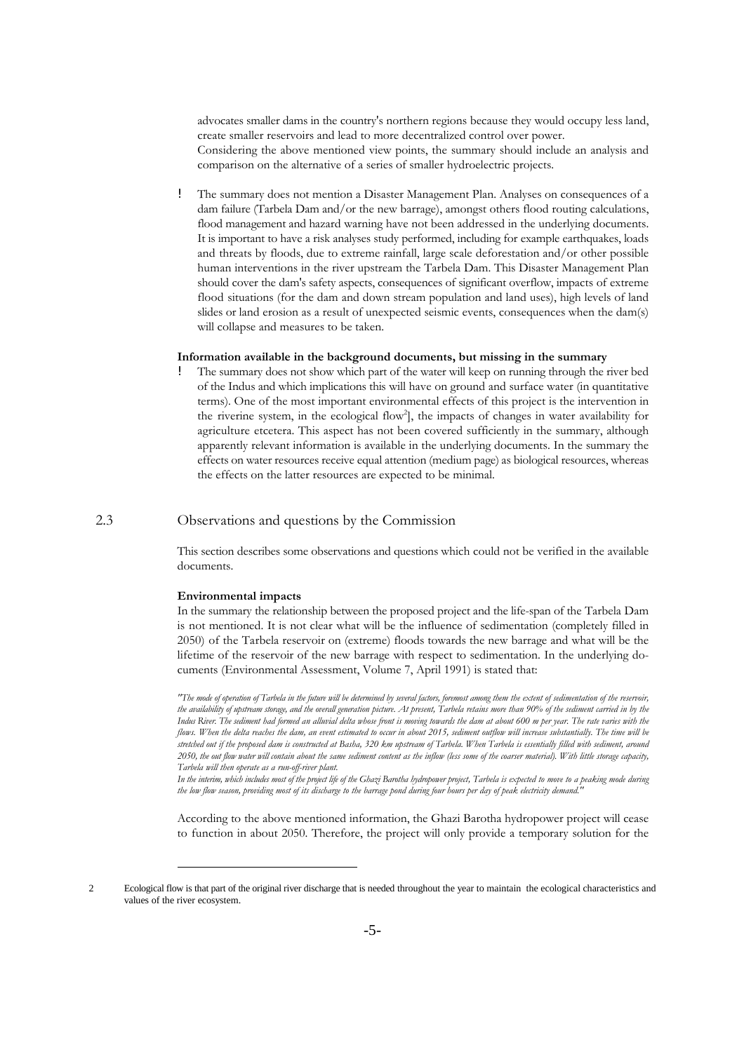advocates smaller dams in the country's northern regions because they would occupy less land, create smaller reservoirs and lead to more decentralized control over power. Considering the above mentioned view points, the summary should include an analysis and comparison on the alternative of a series of smaller hydroelectric projects.

! The summary does not mention a Disaster Management Plan. Analyses on consequences of a dam failure (Tarbela Dam and/or the new barrage), amongst others flood routing calculations, flood management and hazard warning have not been addressed in the underlying documents. It is important to have a risk analyses study performed, including for example earthquakes, loads and threats by floods, due to extreme rainfall, large scale deforestation and/or other possible human interventions in the river upstream the Tarbela Dam. This Disaster Management Plan should cover the dam's safety aspects, consequences of significant overflow, impacts of extreme flood situations (for the dam and down stream population and land uses), high levels of land slides or land erosion as a result of unexpected seismic events, consequences when the dam(s) will collapse and measures to be taken.

#### **Information available in the background documents, but missing in the summary**

! The summary does not show which part of the water will keep on running through the river bed of the Indus and which implications this will have on ground and surface water (in quantitative terms). One of the most important environmental effects of this project is the intervention in the riverine system, in the ecological flow<sup>2</sup>], the impacts of changes in water availability for agriculture etcetera. This aspect has not been covered sufficiently in the summary, although apparently relevant information is available in the underlying documents. In the summary the effects on water resources receive equal attention (medium page) as biological resources, whereas the effects on the latter resources are expected to be minimal.

# 2.3 Observations and questions by the Commission

This section describes some observations and questions which could not be verified in the available documents.

### **Environmental impacts**

In the summary the relationship between the proposed project and the life-span of the Tarbela Dam is not mentioned. It is not clear what will be the influence of sedimentation (completely filled in 2050) of the Tarbela reservoir on (extreme) floods towards the new barrage and what will be the lifetime of the reservoir of the new barrage with respect to sedimentation. In the underlying documents (Environmental Assessment, Volume 7, April 1991) is stated that:

*"The mode of operation of Tarbela in the future will be determined by several factors, foremost among them the extent of sedimentation of the reservoir, the availability of upstream storage, and the overall generation picture. At present, Tarbela retains more than 90% of the sediment carried in by the Indus River. The sediment had formed an alluvial delta whose front is moving towards the dam at about 600 m per year. The rate varies with the flows. When the delta reaches the dam, an event estimated to occur in about 2015, sediment outflow will increase substantially. The time will be stretched out if the proposed dam is constructed at Basha, 320 km upstream of Tarbela. When Tarbela is essentially filled with sediment, around 2050, the out flow water will contain about the same sediment content as the inflow (less some of the coarser material). With little storage capacity, Tarbela will then operate as a run-off-river plant.*

*In the interim, which includes most of the project life of the Ghazi Barotha hydropower project, Tarbela is expected to move to a peaking mode during the low flow season, providing most of its discharge to the barrage pond during four hours per day of peak electricity demand."*

According to the above mentioned information, the Ghazi Barotha hydropower project will cease to function in about 2050. Therefore, the project will only provide a temporary solution for the

<sup>2</sup> Ecological flow is that part of the original river discharge that is needed throughout the year to maintain the ecological characteristics and values of the river ecosystem.